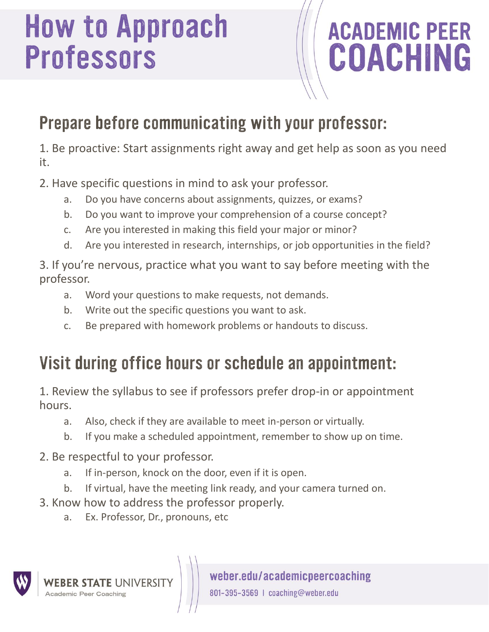# **How to Approach<br>Professors**

# **ACADEMIC PEER<br>COACHING**

## Prepare before communicating with your professor:

1. Be proactive: Start assignments right away and get help as soon as you need it.

- 2. Have specific questions in mind to ask your professor.
	- a. Do you have concerns about assignments, quizzes, or exams?
	- b. Do you want to improve your comprehension of a course concept?
	- c. Are you interested in making this field your major or minor?
	- d. Are you interested in research, internships, or job opportunities in the field?

3. If you're nervous, practice what you want to say before meeting with the professor.

- a. Word your questions to make requests, not demands.
- b. Write out the specific questions you want to ask.
- c. Be prepared with homework problems or handouts to discuss.

### Visit during office hours or schedule an appointment:

1. Review the syllabus to see if professors prefer drop-in or appointment hours.

- a. Also, check if they are available to meet in-person or virtually.
- b. If you make a scheduled appointment, remember to show up on time.

#### 2. Be respectful to your professor.

- a. If in-person, knock on the door, even if it is open.
- b. If virtual, have the meeting link ready, and your camera turned on.
- 3. Know how to address the professor properly.
	- a. Ex. Professor, Dr., pronouns, etc